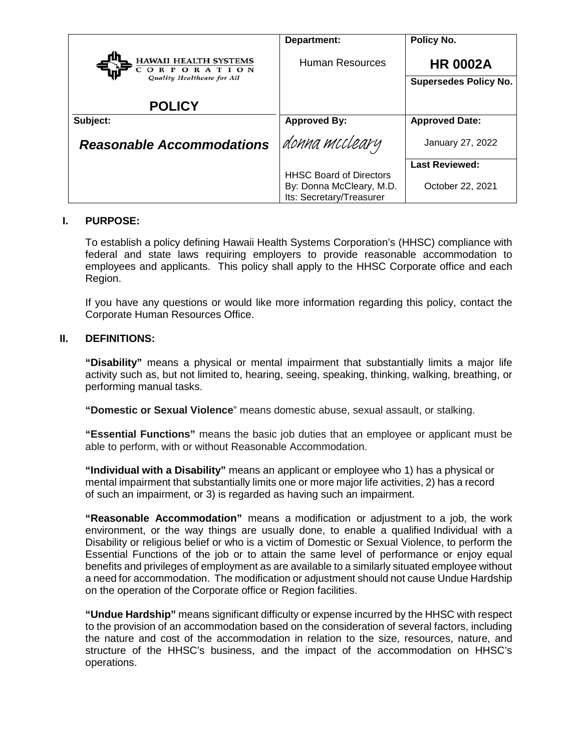|                                                                           | Department:                                          | Policy No.                                      |
|---------------------------------------------------------------------------|------------------------------------------------------|-------------------------------------------------|
| <b>HAWAII HEALTH SYSTEMS</b><br>CORPORATION<br>Quality Healthcare for All | <b>Human Resources</b>                               | <b>HR 0002A</b><br><b>Supersedes Policy No.</b> |
| <b>POLICY</b>                                                             |                                                      |                                                 |
| Subject:                                                                  | <b>Approved By:</b>                                  | <b>Approved Date:</b>                           |
| <b>Reasonable Accommodations</b>                                          | donna mccleary                                       | January 27, 2022                                |
|                                                                           |                                                      | <b>Last Reviewed:</b>                           |
|                                                                           | <b>HHSC Board of Directors</b>                       |                                                 |
|                                                                           | By: Donna McCleary, M.D.<br>Its: Secretary/Treasurer | October 22, 2021                                |

## **I. PURPOSE:**

To establish a policy defining Hawaii Health Systems Corporation's (HHSC) compliance with federal and state laws requiring employers to provide reasonable accommodation to employees and applicants. This policy shall apply to the HHSC Corporate office and each Region.

If you have any questions or would like more information regarding this policy, contact the Corporate Human Resources Office.

#### **II. DEFINITIONS:**

**"Disability"** means a physical or mental impairment that substantially limits a major life activity such as, but not limited to, hearing, seeing, speaking, thinking, walking, breathing, or performing manual tasks.

**"Domestic or Sexual Violence**" means domestic abuse, sexual assault, or stalking.

**"Essential Functions"** means the basic job duties that an employee or applicant must be able to perform, with or without Reasonable Accommodation.

**"Individual with a Disability"** means an applicant or employee who 1) has a physical or mental impairment that substantially limits one or more major life activities, 2) has a record of such an impairment, or 3) is regarded as having such an impairment.

**"Reasonable Accommodation"** means a modification or adjustment to a job, the work environment, or the way things are usually done, to enable a qualified Individual with a Disability or religious belief or who is a victim of Domestic or Sexual Violence, to perform the Essential Functions of the job or to attain the same level of performance or enjoy equal benefits and privileges of employment as are available to a similarly situated employee without a need for accommodation. The modification or adjustment should not cause Undue Hardship on the operation of the Corporate office or Region facilities.

**"Undue Hardship"** means significant difficulty or expense incurred by the HHSC with respect to the provision of an accommodation based on the consideration of several factors, including the nature and cost of the accommodation in relation to the size, resources, nature, and structure of the HHSC's business, and the impact of the accommodation on HHSC's operations.